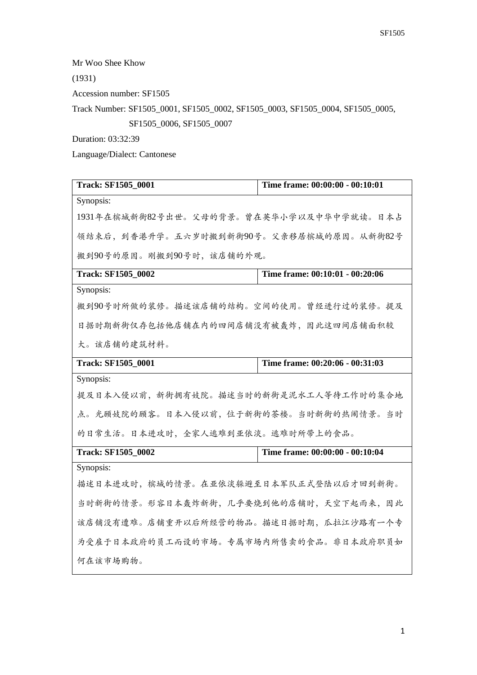Mr Woo Shee Khow

(1931)

Accession number: SF1505

Track Number: SF1505\_0001, SF1505\_0002, SF1505\_0003, SF1505\_0004, SF1505\_0005,

SF1505\_0006, SF1505\_0007

Duration: 03:32:39

Language/Dialect: Cantonese

| Track: SF1505_0001                       | Time frame: 00:00:00 - 00:10:01 |
|------------------------------------------|---------------------------------|
| Synopsis:                                |                                 |
| 1931年在槟城新街82号出世。父母的背景。曾在英华小学以及中华中学就读。日本占 |                                 |
| 领结束后,到香港升学。五六岁时搬到新街90号。父亲移居槟城的原因。从新街82号  |                                 |
| 搬到90号的原因。刚搬到90号时,该店铺的外观。                 |                                 |
| <b>Track: SF1505 0002</b>                | Time frame: 00:10:01 - 00:20:06 |
| Synopsis:                                |                                 |
| 搬到90号时所做的装修。描述该店铺的结构。空间的使用。曾经进行过的装修。提及   |                                 |
| 日据时期新街仅存包括他店铺在内的四间店铺没有被轰炸,因此这四间店铺面积较     |                                 |
| 大。该店铺的建筑材料。                              |                                 |
| <b>Track: SF1505_0001</b>                | Time frame: 00:20:06 - 00:31:03 |
| Synopsis:                                |                                 |
| 提及日本入侵以前,新街拥有妓院。描述当时的新街是泥水工人等待工作时的集合地    |                                 |
| 点。光顾妓院的顾客。日本入侵以前,位于新街的茶楼。当时新街的热闹情景。当时    |                                 |
| 的日常生活。日本进攻时,全家人逃难到亚依淡。逃难时所带上的食品。         |                                 |
| <b>Track: SF1505 0002</b>                | Time frame: 00:00:00 - 00:10:04 |
| Synopsis:                                |                                 |
| 描述日本进攻时,槟城的情景。在亚依淡躲避至日本军队正式登陆以后才回到新街。    |                                 |
| 当时新街的情景。形容日本轰炸新街,几乎要烧到他的店铺时,天空下起雨来,因此    |                                 |
| 该店铺没有遭难。店铺重开以后所经营的物品。描述日据时期,瓜拉江沙路有一个专    |                                 |
| 为受雇于日本政府的员工而设的市场。专属市场内所售卖的食品。非日本政府职员如    |                                 |
| 何在该市场购物。                                 |                                 |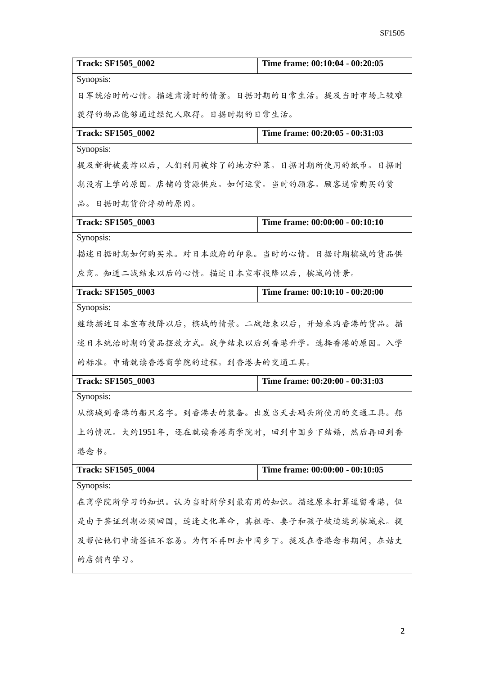| <b>Track: SF1505_0002</b>               | Time frame: 00:10:04 - 00:20:05 |
|-----------------------------------------|---------------------------------|
| Synopsis:                               |                                 |
| 日军统治时的心情。描述肃清时的情景。日据时期的日常生活。提及当时市场上较难   |                                 |
| 获得的物品能够通过经纪人取得。日据时期的日常生活。               |                                 |
| <b>Track: SF1505_0002</b>               | Time frame: 00:20:05 - 00:31:03 |
| Synopsis:                               |                                 |
| 提及新街被轰炸以后,人们利用被炸了的地方种菜。日据时期所使用的纸币。日据时   |                                 |
| 期没有上学的原因。店铺的货源供应。如何运货。当时的顾客。顾客通常购买的货    |                                 |
| 品。日据时期货价浮动的原因。                          |                                 |
| <b>Track: SF1505_0003</b>               | Time frame: 00:00:00 - 00:10:10 |
| Synopsis:                               |                                 |
| 描述日据时期如何购买米。对日本政府的印象。当时的心情。日据时期槟城的货品供   |                                 |
| 应商。知道二战结束以后的心情。描述日本宣布投降以后,槟城的情景。        |                                 |
| <b>Track: SF1505_0003</b>               | Time frame: 00:10:10 - 00:20:00 |
| Synopsis:                               |                                 |
| 继续描述日本宣布投降以后,槟城的情景。二战结束以后,开始采购香港的货品。描   |                                 |
| 述日本统治时期的货品摆放方式。战争结束以后到香港升学。选择香港的原因。入学   |                                 |
| 的标准。申请就读香港商学院的过程。到香港去的交通工具。             |                                 |
| <b>Track: SF1505_0003</b>               | Time frame: 00:20:00 - 00:31:03 |
| Synopsis:                               |                                 |
| 从槟城到香港的船只名字。到香港去的装备。出发当天去码头所使用的交通工具。船   |                                 |
| 上的情况。大约1951年,还在就读香港商学院时,回到中国乡下结婚,然后再回到香 |                                 |
| 港念书。                                    |                                 |
| <b>Track: SF1505_0004</b>               | Time frame: 00:00:00 - 00:10:05 |
| Synopsis:                               |                                 |
| 在商学院所学习的知识。认为当时所学到最有用的知识。描述原本打算逗留香港,但   |                                 |
| 是由于签证到期必须回国,适逢文化革命,其祖母、妻子和孩子被迫逃到槟城来。提   |                                 |
| 及帮忙他们申请签证不容易。为何不再回去中国乡下。提及在香港念书期间,在姑丈   |                                 |
| 的店铺内学习。                                 |                                 |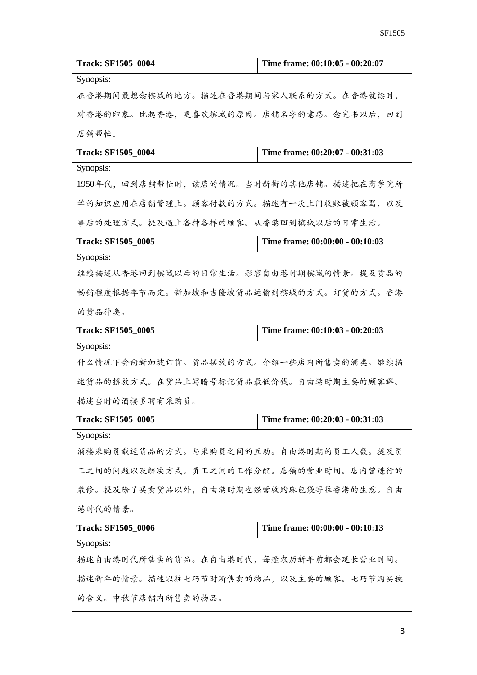| <b>Track: SF1505 0004</b>                 | Time frame: 00:10:05 - 00:20:07 |
|-------------------------------------------|---------------------------------|
| Synopsis:                                 |                                 |
| 在香港期间最想念槟城的地方。描述在香港期间与家人联系的方式。在香港就读时,     |                                 |
| 对香港的印象。比起香港,更喜欢槟城的原因。店铺名字的意思。念完书以后,回到     |                                 |
| 店铺帮忙。                                     |                                 |
| <b>Track: SF1505 0004</b>                 | Time frame: 00:20:07 - 00:31:03 |
| Synopsis:                                 |                                 |
| 1950年代, 回到店铺帮忙时, 该店的情况。当时新街的其他店铺。描述把在商学院所 |                                 |
| 学的知识应用在店铺管理上。顾客付款的方式。描述有一次上门收账被顾客骂,以及     |                                 |
| 事后的处理方式。提及遇上各种各样的顾客。从香港回到槟城以后的日常生活。       |                                 |
| <b>Track: SF1505_0005</b>                 | Time frame: 00:00:00 - 00:10:03 |
| Synopsis:                                 |                                 |
| 继续描述从香港回到槟城以后的日常生活。形容自由港时期槟城的情景。提及货品的     |                                 |
| 畅销程度根据季节而定。新加坡和吉隆坡货品运输到槟城的方式。订货的方式。香港     |                                 |
| 的货品种类。                                    |                                 |
| <b>Track: SF1505_0005</b>                 | Time frame: 00:10:03 - 00:20:03 |
| Synopsis:                                 |                                 |
| 什么情况下会向新加坡订货。货品摆放的方式。介绍一些店内所售卖的酒类。继续描     |                                 |
| 述货品的摆放方式。在货品上写暗号标记货品最低价钱。自由港时期主要的顾客群。     |                                 |
| 描述当时的酒楼多聘有采购员。                            |                                 |
| Track: SF1505_0005                        | Time frame: 00:20:03 - 00:31:03 |
| Synopsis:                                 |                                 |
| 酒楼采购员载送货品的方式。与采购员之间的互动。自由港时期的员工人数。提及员     |                                 |
| 工之间的问题以及解决方式。员工之间的工作分配。店铺的营业时间。店内曾进行的     |                                 |
| 装修。提及除了买卖货品以外,自由港时期也经营收购麻包袋寄往香港的生意。自由     |                                 |
| 港时代的情景。                                   |                                 |
| <b>Track: SF1505_0006</b>                 | Time frame: 00:00:00 - 00:10:13 |
| Synopsis:                                 |                                 |
| 描述自由港时代所售卖的货品。在自由港时代,每逢农历新年前都会延长营业时间。     |                                 |
| 描述新年的情景。描述以往七巧节时所售卖的物品,以及主要的顾客。七巧节购买秧     |                                 |
| 的含义。中秋节店铺内所售卖的物品。                         |                                 |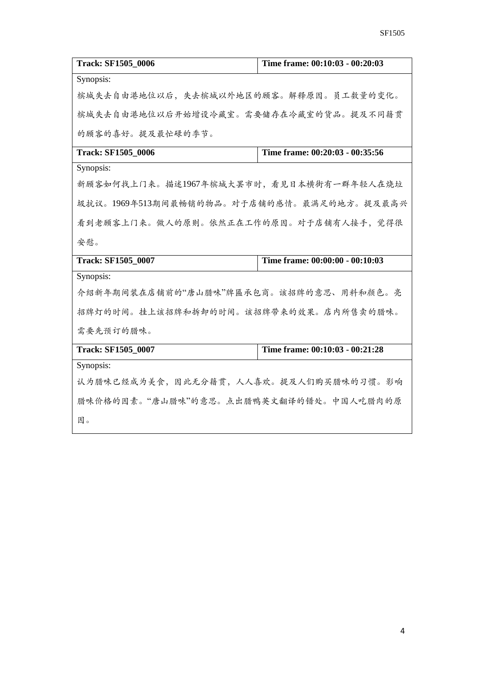| <b>Track: SF1505 0006</b>                 | Time frame: 00:10:03 - 00:20:03 |
|-------------------------------------------|---------------------------------|
| Synopsis:                                 |                                 |
| 槟城失去自由港地位以后,失去槟城以外地区的顾客。解释原因。员工数量的变化。     |                                 |
| 槟城失去自由港地位以后开始增设冷藏室。需要储存在冷藏室的货品。提及不同籍贯     |                                 |
| 的顾客的喜好。提及最忙碌的季节。                          |                                 |
| <b>Track: SF1505_0006</b>                 | Time frame: 00:20:03 - 00:35:56 |
| Synopsis:                                 |                                 |
| 新顾客如何找上门来。描述1967年槟城大罢市时,看见日本横街有一群年轻人在烧垃   |                                 |
| 圾抗议。1969年513期间最畅销的物品。对于店铺的感情。最满足的地方。提及最高兴 |                                 |
| 看到老顾客上门来。做人的原则。依然正在工作的原因。对于店铺有人接手,觉得很     |                                 |
| 安慰。                                       |                                 |
| Track: SF1505_0007                        | Time frame: 00:00:00 - 00:10:03 |
| Synopsis:                                 |                                 |
| 介绍新年期间装在店铺前的"唐山腊味"牌匾承包商。该招牌的意思、用料和颜色。亮    |                                 |
| 招牌灯的时间。挂上该招牌和拆卸的时间。该招牌带来的效果。店内所售卖的腊味。     |                                 |
| 需要先预订的腊味。                                 |                                 |
| <b>Track: SF1505_0007</b>                 | Time frame: 00:10:03 - 00:21:28 |
| Synopsis:                                 |                                 |
| 认为腊味已经成为美食,因此无分籍贯,人人喜欢。提及人们购买腊味的习惯。影响     |                                 |
| 腊味价格的因素。"唐山腊味"的意思。点出腊鸭英文翻译的错处。中国人吃腊肉的原    |                                 |
| 因。                                        |                                 |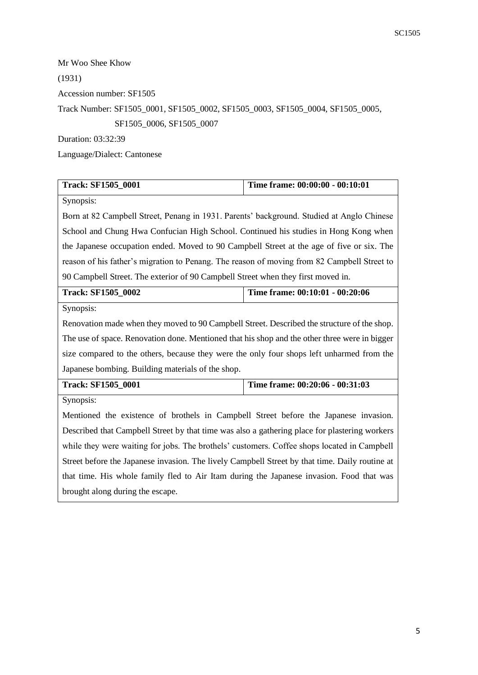Mr Woo Shee Khow (1931) Accession number: SF1505 Track Number: SF1505\_0001, SF1505\_0002, SF1505\_0003, SF1505\_0004, SF1505\_0005, SF1505\_0006, SF1505\_0007 Duration: 03:32:39

Language/Dialect: Cantonese

| <b>Track: SF1505_0001</b>                                                                      | Time frame: 00:00:00 - 00:10:01 |
|------------------------------------------------------------------------------------------------|---------------------------------|
| Synopsis:                                                                                      |                                 |
| Born at 82 Campbell Street, Penang in 1931. Parents' background. Studied at Anglo Chinese      |                                 |
| School and Chung Hwa Confucian High School. Continued his studies in Hong Kong when            |                                 |
| the Japanese occupation ended. Moved to 90 Campbell Street at the age of five or six. The      |                                 |
| reason of his father's migration to Penang. The reason of moving from 82 Campbell Street to    |                                 |
| 90 Campbell Street. The exterior of 90 Campbell Street when they first moved in.               |                                 |
| <b>Track: SF1505_0002</b>                                                                      | Time frame: 00:10:01 - 00:20:06 |
| Synopsis:                                                                                      |                                 |
| Renovation made when they moved to 90 Campbell Street. Described the structure of the shop.    |                                 |
| The use of space. Renovation done. Mentioned that his shop and the other three were in bigger  |                                 |
| size compared to the others, because they were the only four shops left unharmed from the      |                                 |
| Japanese bombing. Building materials of the shop.                                              |                                 |
| <b>Track: SF1505_0001</b>                                                                      | Time frame: 00:20:06 - 00:31:03 |
| Synopsis:                                                                                      |                                 |
| Mentioned the existence of brothels in Campbell Street before the Japanese invasion.           |                                 |
| Described that Campbell Street by that time was also a gathering place for plastering workers  |                                 |
| while they were waiting for jobs. The brothels' customers. Coffee shops located in Campbell    |                                 |
| Street before the Japanese invasion. The lively Campbell Street by that time. Daily routine at |                                 |
| that time. His whole family fled to Air Itam during the Japanese invasion. Food that was       |                                 |
| brought along during the escape.                                                               |                                 |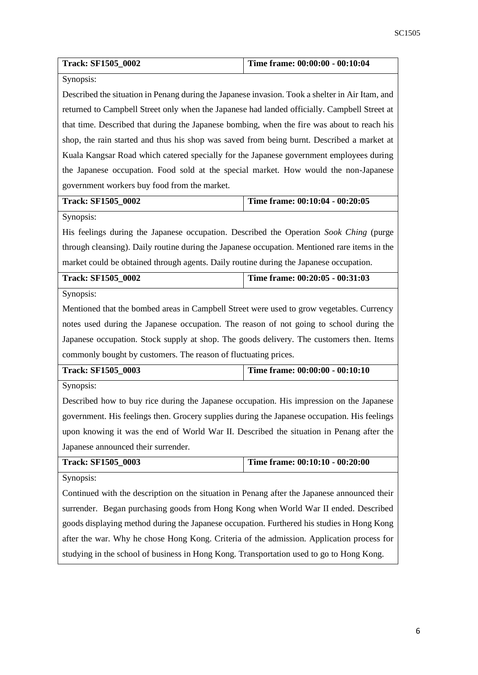| <b>Track: SF1505_0002</b>                                                                       | Time frame: 00:00:00 - 00:10:04                                                             |  |
|-------------------------------------------------------------------------------------------------|---------------------------------------------------------------------------------------------|--|
| Synopsis:                                                                                       |                                                                                             |  |
| Described the situation in Penang during the Japanese invasion. Took a shelter in Air Itam, and |                                                                                             |  |
| returned to Campbell Street only when the Japanese had landed officially. Campbell Street at    |                                                                                             |  |
|                                                                                                 | that time. Described that during the Japanese bombing, when the fire was about to reach his |  |
| shop, the rain started and thus his shop was saved from being burnt. Described a market at      |                                                                                             |  |
| Kuala Kangsar Road which catered specially for the Japanese government employees during         |                                                                                             |  |
| the Japanese occupation. Food sold at the special market. How would the non-Japanese            |                                                                                             |  |
| government workers buy food from the market.                                                    |                                                                                             |  |
| <b>Track: SF1505_0002</b>                                                                       | Time frame: 00:10:04 - 00:20:05                                                             |  |
| Synopsis:                                                                                       |                                                                                             |  |
| His feelings during the Japanese occupation. Described the Operation Sook Ching (purge          |                                                                                             |  |
| through cleansing). Daily routine during the Japanese occupation. Mentioned rare items in the   |                                                                                             |  |
| market could be obtained through agents. Daily routine during the Japanese occupation.          |                                                                                             |  |
| <b>Track: SF1505_0002</b>                                                                       | Time frame: 00:20:05 - 00:31:03                                                             |  |
| Synopsis:                                                                                       |                                                                                             |  |
| Mentioned that the bombed areas in Campbell Street were used to grow vegetables. Currency       |                                                                                             |  |
| notes used during the Japanese occupation. The reason of not going to school during the         |                                                                                             |  |
| Japanese occupation. Stock supply at shop. The goods delivery. The customers then. Items        |                                                                                             |  |
| commonly bought by customers. The reason of fluctuating prices.                                 |                                                                                             |  |
| <b>Track: SF1505_0003</b>                                                                       | Time frame: 00:00:00 - 00:10:10                                                             |  |
| Synopsis:                                                                                       |                                                                                             |  |
| Described how to buy rice during the Japanese occupation. His impression on the Japanese        |                                                                                             |  |
| government. His feelings then. Grocery supplies during the Japanese occupation. His feelings    |                                                                                             |  |
| upon knowing it was the end of World War II. Described the situation in Penang after the        |                                                                                             |  |
| Japanese announced their surrender.                                                             |                                                                                             |  |
| <b>Track: SF1505_0003</b>                                                                       | Time frame: 00:10:10 - 00:20:00                                                             |  |
| Synopsis:                                                                                       |                                                                                             |  |
| Continued with the description on the situation in Penang after the Japanese announced their    |                                                                                             |  |
| surrender. Began purchasing goods from Hong Kong when World War II ended. Described             |                                                                                             |  |
| goods displaying method during the Japanese occupation. Furthered his studies in Hong Kong      |                                                                                             |  |
| after the war. Why he chose Hong Kong. Criteria of the admission. Application process for       |                                                                                             |  |
| studying in the school of business in Hong Kong. Transportation used to go to Hong Kong.        |                                                                                             |  |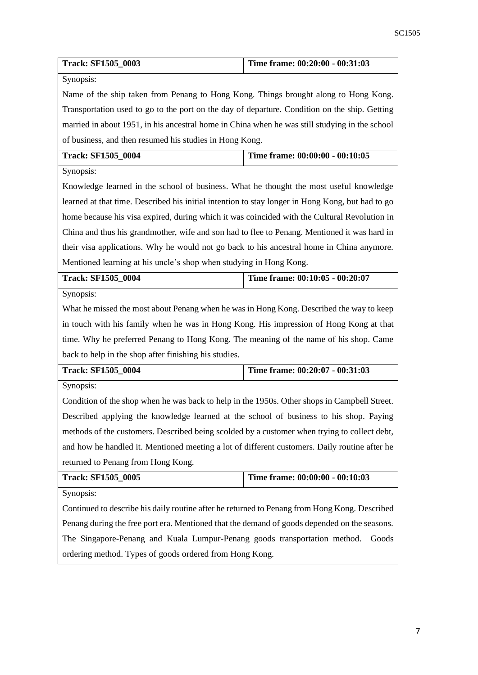| <b>Track: SF1505 0003</b>                                                                      | Time frame: 00:20:00 - 00:31:03                                                                  |  |
|------------------------------------------------------------------------------------------------|--------------------------------------------------------------------------------------------------|--|
| Synopsis:                                                                                      |                                                                                                  |  |
| Name of the ship taken from Penang to Hong Kong. Things brought along to Hong Kong.            |                                                                                                  |  |
| Transportation used to go to the port on the day of departure. Condition on the ship. Getting  |                                                                                                  |  |
| married in about 1951, in his ancestral home in China when he was still studying in the school |                                                                                                  |  |
| of business, and then resumed his studies in Hong Kong.                                        |                                                                                                  |  |
| <b>Track: SF1505_0004</b>                                                                      | Time frame: 00:00:00 - 00:10:05                                                                  |  |
| Synopsis:                                                                                      |                                                                                                  |  |
| Knowledge learned in the school of business. What he thought the most useful knowledge         |                                                                                                  |  |
|                                                                                                | learned at that time. Described his initial intention to stay longer in Hong Kong, but had to go |  |
| home because his visa expired, during which it was coincided with the Cultural Revolution in   |                                                                                                  |  |
| China and thus his grandmother, wife and son had to flee to Penang. Mentioned it was hard in   |                                                                                                  |  |
| their visa applications. Why he would not go back to his ancestral home in China anymore.      |                                                                                                  |  |
| Mentioned learning at his uncle's shop when studying in Hong Kong.                             |                                                                                                  |  |
| <b>Track: SF1505 0004</b>                                                                      | Time frame: 00:10:05 - 00:20:07                                                                  |  |
| Synopsis:                                                                                      |                                                                                                  |  |
| What he missed the most about Penang when he was in Hong Kong. Described the way to keep       |                                                                                                  |  |
| in touch with his family when he was in Hong Kong. His impression of Hong Kong at that         |                                                                                                  |  |
| time. Why he preferred Penang to Hong Kong. The meaning of the name of his shop. Came          |                                                                                                  |  |
| back to help in the shop after finishing his studies.                                          |                                                                                                  |  |
| <b>Track: SF1505_0004</b>                                                                      | Time frame: 00:20:07 - 00:31:03                                                                  |  |
| Synopsis:                                                                                      |                                                                                                  |  |
| Condition of the shop when he was back to help in the 1950s. Other shops in Campbell Street.   |                                                                                                  |  |
| Described applying the knowledge learned at the school of business to his shop. Paying         |                                                                                                  |  |
| methods of the customers. Described being scolded by a customer when trying to collect debt,   |                                                                                                  |  |
| and how he handled it. Mentioned meeting a lot of different customers. Daily routine after he  |                                                                                                  |  |
| returned to Penang from Hong Kong.                                                             |                                                                                                  |  |
| <b>Track: SF1505_0005</b>                                                                      | Time frame: 00:00:00 - 00:10:03                                                                  |  |
| Synopsis:                                                                                      |                                                                                                  |  |
| Continued to describe his daily routine after he returned to Penang from Hong Kong. Described  |                                                                                                  |  |
| Penang during the free port era. Mentioned that the demand of goods depended on the seasons.   |                                                                                                  |  |
| The Singapore-Penang and Kuala Lumpur-Penang goods transportation method.<br>Goods             |                                                                                                  |  |
| ordering method. Types of goods ordered from Hong Kong.                                        |                                                                                                  |  |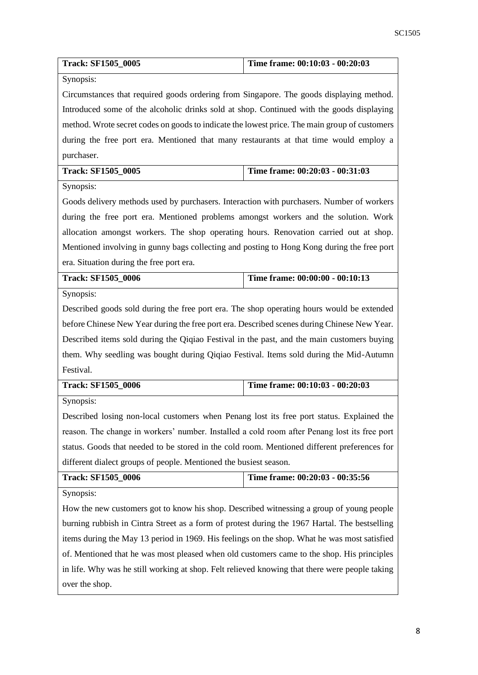| <b>Track: SF1505_0005</b>                                                                      | Time frame: 00:10:03 - 00:20:03 |
|------------------------------------------------------------------------------------------------|---------------------------------|
| Synopsis:                                                                                      |                                 |
| Circumstances that required goods ordering from Singapore. The goods displaying method.        |                                 |
| Introduced some of the alcoholic drinks sold at shop. Continued with the goods displaying      |                                 |
| method. Wrote secret codes on goods to indicate the lowest price. The main group of customers  |                                 |
| during the free port era. Mentioned that many restaurants at that time would employ a          |                                 |
| purchaser.                                                                                     |                                 |
| <b>Track: SF1505 0005</b>                                                                      | Time frame: 00:20:03 - 00:31:03 |
| Synopsis:                                                                                      |                                 |
| Goods delivery methods used by purchasers. Interaction with purchasers. Number of workers      |                                 |
| during the free port era. Mentioned problems amongst workers and the solution. Work            |                                 |
| allocation amongst workers. The shop operating hours. Renovation carried out at shop.          |                                 |
| Mentioned involving in gunny bags collecting and posting to Hong Kong during the free port     |                                 |
| era. Situation during the free port era.                                                       |                                 |
| <b>Track: SF1505_0006</b>                                                                      | Time frame: 00:00:00 - 00:10:13 |
| Synopsis:                                                                                      |                                 |
| Described goods sold during the free port era. The shop operating hours would be extended      |                                 |
| before Chinese New Year during the free port era. Described scenes during Chinese New Year.    |                                 |
| Described items sold during the Qiqiao Festival in the past, and the main customers buying     |                                 |
| them. Why seedling was bought during Qiqiao Festival. Items sold during the Mid-Autumn         |                                 |
| Festival.                                                                                      |                                 |
| <b>Track: SF1505_0006</b>                                                                      | Time frame: 00:10:03 - 00:20:03 |
| Synopsis:                                                                                      |                                 |
| Described losing non-local customers when Penang lost its free port status. Explained the      |                                 |
| reason. The change in workers' number. Installed a cold room after Penang lost its free port   |                                 |
| status. Goods that needed to be stored in the cold room. Mentioned different preferences for   |                                 |
| different dialect groups of people. Mentioned the busiest season.                              |                                 |
| Track: SF1505_0006                                                                             | Time frame: 00:20:03 - 00:35:56 |
| Synopsis:                                                                                      |                                 |
| How the new customers got to know his shop. Described witnessing a group of young people       |                                 |
| burning rubbish in Cintra Street as a form of protest during the 1967 Hartal. The bestselling  |                                 |
| items during the May 13 period in 1969. His feelings on the shop. What he was most satisfied   |                                 |
| of. Mentioned that he was most pleased when old customers came to the shop. His principles     |                                 |
| in life. Why was he still working at shop. Felt relieved knowing that there were people taking |                                 |
| over the shop.                                                                                 |                                 |